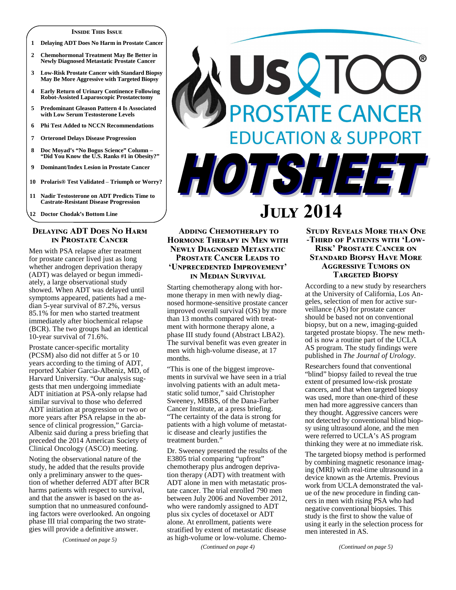#### **I**nside This Issue

- **1 Delaying ADT Does No Harm in Prostate Cancer**
- **2 Chemohormonal Treatment May Be Better in Newly Diagnosed Metastatic Prostate Cancer**
- **3 Low-Risk Prostate Cancer with Standard Biopsy May Be More Aggressive with Targeted Biopsy**
- **4 Early Return of Urinary Continence Following Robot-Assisted Laparoscopic Prostatectomy**
- **5 Predominant Gleason Pattern 4 Is Associated with Low Serum Testosterone Levels**
- **6 Phi Test Added to NCCN Recommendations**
- **7 Orteronel Delays Disease Progression**
- **8 Doc Moyad's "No Bogus Science" Column "Did You Know the U.S. Ranks #1 in Obesity?"**
- **9 Dominant/Index Lesion in Prostate Cancer**
- **10 Prolaris® Test Validated Triumph or Worry?**
- **11 Nadir Testosterone on ADT Predicts Time to Castrate-Resistant Disease Progression**

**12 Doctor Chodak's Bottom Line** 

#### **DELAYING ADT DOES NO HARM IN PROSTATE CANCER**

Men with PSA relapse after treatment for prostate cancer lived just as long whether androgen deprivation therapy (ADT) was delayed or begun immediately, a large observational study showed. When ADT was delayed until symptoms appeared, patients had a median 5-year survival of 87.2%, versus 85.1% for men who started treatment immediately after biochemical relapse (BCR). The two groups had an identical 10-year survival of 71.6%.

Prostate cancer-specific mortality (PCSM) also did not differ at 5 or 10 years according to the timing of ADT, reported Xabier Garcia-Albeniz, MD, of Harvard University. "Our analysis suggests that men undergoing immediate ADT initiation at PSA-only relapse had similar survival to those who deferred ADT initiation at progression or two or more years after PSA relapse in the absence of clinical progression," Garcia-Albeniz said during a press briefing that preceded the 2014 American Society of Clinical Oncology (ASCO) meeting.

Noting the observational nature of the study, he added that the results provide only a preliminary answer to the question of whether deferred ADT after BCR harms patients with respect to survival, and that the answer is based on the assumption that no unmeasured confounding factors were overlooked. An ongoing phase III trial comparing the two strategies will provide a definitive answer.

*(Continued on page 5)* 

# USQTC PROSTATE CANCER **EDUCATION & SUPPORT** VOTSHEET

## **J- 2014**

#### **ADDING CHEMOTHERAPY TO HORMONE THERAPY IN MEN WITH NEWLY DIAGNOSED METASTATIC PROSTATE CANCER LEADS TO** 'UNPRECEDENTED IMPROVEMENT' <mark>IN MEDIAN SURVIVAL</mark>

Starting chemotherapy along with hormone therapy in men with newly diagnosed hormone-sensitive prostate cancer improved overall survival (OS) by more than 13 months compared with treatment with hormone therapy alone, a phase III study found (Abstract LBA2). The survival benefit was even greater in men with high-volume disease, at 17 months.

"This is one of the biggest improvements in survival we have seen in a trial involving patients with an adult metastatic solid tumor," said Christopher Sweeney, MBBS, of the Dana-Farber Cancer Institute, at a press briefing. "The certainty of the data is strong for patients with a high volume of metastatic disease and clearly justifies the treatment burden."

Dr. Sweeney presented the results of the E3805 trial comparing "upfront" chemotherapy plus androgen deprivation therapy (ADT) with treatment with ADT alone in men with metastatic prostate cancer. The trial enrolled 790 men between July 2006 and November 2012, who were randomly assigned to ADT plus six cycles of docetaxel or ADT alone. At enrollment, patients were stratified by extent of metastatic disease as high-volume or low-volume. Chemo-

*(Continued on page 4)* 

#### STUDY REVEALS MORE THAN ONE -THIRD OF PATIENTS WITH 'LOW-**RISK' PROSTATE CANCER ON STANDARD BIOPSY HAVE MORE AGGRESSIVE TUMORS ON TARGETED BIOPSY**

According to a new study by researchers at the University of California, Los Angeles, selection of men for active surveillance (AS) for prostate cancer should be based not on conventional biopsy, but on a new, imaging-guided targeted prostate biopsy. The new method is now a routine part of the UCLA AS program. The study findings were published in *The Journal of Urology*.

Researchers found that conventional "blind" biopsy failed to reveal the true extent of presumed low-risk prostate cancers, and that when targeted biopsy was used, more than one-third of these men had more aggressive cancers than they thought. Aggressive cancers were not detected by conventional blind biopsy using ultrasound alone, and the men were referred to UCLA's AS program thinking they were at no immediate risk.

The targeted biopsy method is performed by combining magnetic resonance imaging (MRI) with real-time ultrasound in a device known as the Artemis. Previous work from UCLA demonstrated the value of the new procedure in finding cancers in men with rising PSA who had negative conventional biopsies. This study is the first to show the value of using it early in the selection process for men interested in AS.

*(Continued on page 5)*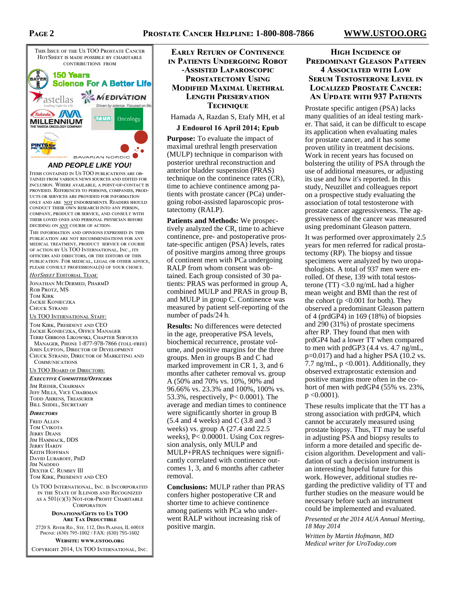

#### **AND PEOPLE LIKE YOU!**

ITEMS CONTAINED IN US TOO PUBLICATIONS ARE OB-TAINED FROM VARIOUS NEWS SOURCES AND EDITED FOR INCLUSION. WHERE AVAILABLE, A POINT-OF-CONTACT IS PROVIDED. REFERENCES TO PERSONS, COMPANIES, PROD-UCTS OR SERVICES ARE PROVIDED FOR INFORMATION ONLY AND ARE NOT ENDORSEMENTS. READERS SHOULD CONDUCT THEIR OWN RESEARCH INTO ANY PERSON, COMPANY, PRODUCT OR SERVICE, AND CONSULT WITH THEIR LOVED ONES AND PERSONAL PHYSICIAN BEFORE DECIDING ON ANY COURSE OF ACTION.

THE INFORMATION AND OPINIONS EXPRESSED IN THIS PUBLICATION ARE NOT RECOMMENDATIONS FOR ANY MEDICAL TREATMENT, PRODUCT SERVICE OR COURSE OF ACTION BY US TOO INTERNATIONAL, INC., ITS OFFICERS AND DIRECTORS, OR THE EDITORS OF THIS PUBLICATION. FOR MEDICAL, LEGAL OR OTHER ADVICE, PLEASE CONSULT PROFESSIONAL(S) OF YOUR CHOICE.

*HotSheet* Editorial Team:

JONATHAN MCDERMED, PHARMD ROB PROTZ MS **TOM KIRK JACKIE KONIECZKA** Chuck Strand

#### Us TOO INTERNATIONAL STAFF:

TOM KIRK, PRESIDENT AND CEO Jackie Konieczka, Office Manager Terri Gibbons Likowski, Chapter Services MANAGER, PHONE 1-877-978-7866 (TOLL-FREE) JOHN LUPTON, DIRECTOR OF DEVELOPMENT Chuck Strand, Director of Marketing and **COMMUNICATIONS** 

<u>Us TOO Board of Directors:</u>

EXECUTIVE COMMITTEE/OFFICERS

Jim Rieder, Chairman Jeff Mills, Vice Chairman TODD AHRENS, TREASURER **BILL SEIDEL, SECRETARY** 

#### **DIRECTORS**

**FRED ALLEN TOM CVIKOTA JERRY DEANS** JIM HAMMACK, DDS **JERRY HARDY** Keith Hoffman David Lubaroff, PhD **JIM NADDEO DEXTER C. RUMSEY III** TOM KIRK, PRESIDENT AND CEO

US TOO INTERNATIONAL, INC. IS INCORPORATED IN THE STATE OF ILLINOIS AND RECOGNIZED as a 501(c)(3) Not-for-Profit Charitable **CORPORATION** 

#### **DONATIONS/GIFTS TO US TOO ARE TAX DEDUCTIBLE**

2720 S. RIVER RD., STE. 112, DES PLAINES, IL 60018 PHONE: (630) 795-1002 / FAX: (630) 795-1602

#### WEBSITE: WWW.USTOO.ORG

COPYRIGHT 2014, US TOO INTERNATIONAL, INC.

#### **EARLY RETURN OF CONTINENCE IN PATIENTS UNDERGOING ROBOT -ASSISTED LAPAROSCOPIC PROSTATECTOMY USING MODIFIED MAXIMAL URETHRAL LENGTH PRESERVATION TECHNIQUE**

Hamada A, Razdan S, Etafy MH, et al

#### **J Endourol 16 April 2014; Epub**

**Purpose:** To evaluate the impact of maximal urethral length preservation (MULP) technique in comparison with posterior urethral reconstruction and anterior bladder suspension (PRAS) technique on the continence rates (CR), time to achieve continence among patients with prostate cancer (PCa) undergoing robot-assisted laparoscopic prostatectomy (RALP).

**Patients and Methods:** We prospectively analyzed the CR, time to achieve continence, pre- and postoperative prostate-specific antigen (PSA) levels, rates of positive margins among three groups of continent men with PCa undergoing RALP from whom consent was obtained. Each group consisted of 30 patients: PRAS was performed in group A, combined MULP and PRAS in group B, and MULP in group C. Continence was measured by patient self-reporting of the number of pads/24 h.

**Results:** No differences were detected in the age, preoperative PSA levels, biochemical recurrence, prostate volume, and positive margins for the three groups. Men in groups B and C had marked improvement in CR 1, 3, and 6 months after catheter removal vs. group A (50% and 70% vs. 10%, 90% and 96.66% vs. 23.3% and 100%, 100% vs. 53.3%, respectively, P< 0.0001). The average and median times to continence were significantly shorter in group B  $(5.4$  and 4 weeks) and C  $(3.8$  and 3 weeks) vs. group A (27.4 and 22.5 weeks), P< 0.00001. Using Cox regression analysis, only MULP and MULP+PRAS techniques were significantly correlated with continence outcomes 1, 3, and 6 months after catheter removal.

**Conclusions:** MULP rather than PRAS confers higher postoperative CR and shorter time to achieve continence among patients with PCa who underwent RALP without increasing risk of positive margin.

#### **HIGH INCIDENCE OF PREDOMINANT GLEASON PATTERN 4 ASSOCIATED WITH LOW SERUM TESTOSTERONE LEVEL IN LOCALIZED PROSTATE CANCER: AN UPDATE WITH 937 PATIENTS**

Prostate specific antigen (PSA) lacks many qualities of an ideal testing marker. That said, it can be difficult to escape its application when evaluating males for prostate cancer, and it has some proven utility in treatment decisions. Work in recent years has focused on bolstering the utility of PSA through the use of additional measures, or adjusting its use and how it's reported. In this study, Neuzillet and colleagues report on a prospective study evaluating the association of total testosterone with prostate cancer aggressiveness. The aggressiveness of the cancer was measured using predominant Gleason pattern.

It was performed over approximately 2.5 years for men referred for radical prostatectomy (RP). The biopsy and tissue specimens were analyzed by two uropathologists. A total of 937 men were enrolled. Of these, 139 with total testosterone (TT) <3.0 ng/mL had a higher mean weight and BMI than the rest of the cohort ( $p < 0.001$  for both). They observed a predominant Gleason pattern of 4 (prdGP4) in 169 (18%) of biopsies and 290 (31%) of prostate specimens after RP. They found that men with prdGP4 had a lower TT when compared to men with prdGP3 (4.4 vs. 4.7 ng/mL, p=0.017) and had a higher PSA (10.2 vs. 7.7 ng/mL,  $p \le 0.001$ ). Additionally, they observed extraprostatic extension and positive margins more often in the cohort of men with prdGP4 (55% vs. 23%,  $p \leq 0.0001$ ).

These results implicate that the TT has a strong association with prdGP4, which cannot be accurately measured using prostate biopsy. Thus, TT may be useful in adjusting PSA and biopsy results to inform a more detailed and specific decision algorithm. Development and validation of such a decision instrument is an interesting hopeful future for this work. However, additional studies regarding the predictive validity of TT and further studies on the measure would be necessary before such an instrument could be implemented and evaluated.

*Presented at the 2014 AUA Annual Meeting, 18 May 2014* 

*Written by Martin Hofmann, MD Medical writer for UroToday.com*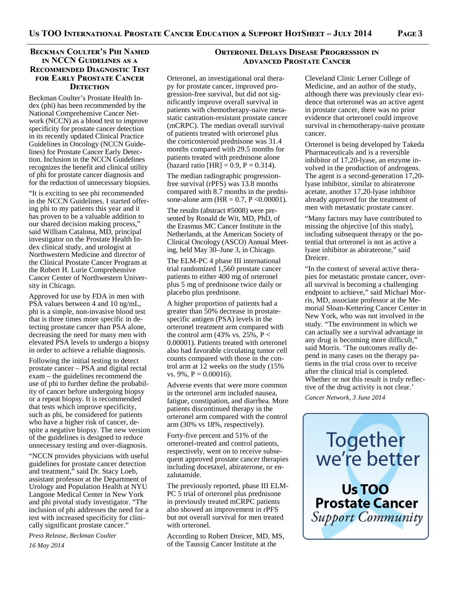#### BECKMAN COULTER'S PHI NAMED IN NCCN GUIDELINES AS A **RECOMMENDED DIAGNOSTIC TEST FOR EARLY PROSTATE CANCER DETECTION**

Beckman Coulter's Prostate Health Index (phi) has been recommended by the National Comprehensive Cancer Network (NCCN) as a blood test to improve specificity for prostate cancer detection in its recently updated Clinical Practice Guidelines in Oncology (NCCN Guidelines) for Prostate Cancer Early Detection. Inclusion in the NCCN Guidelines recognizes the benefit and clinical utility of phi for prostate cancer diagnosis and for the reduction of unnecessary biopsies.

"It is exciting to see phi recommended in the NCCN Guidelines. I started offering phi to my patients this year and it has proven to be a valuable addition to our shared decision making process," said William Catalona, MD, principal investigator on the Prostate Health Index clinical study, and urologist at Northwestern Medicine and director of the Clinical Prostate Cancer Program at the Robert H. Lurie Comprehensive Cancer Center of Northwestern University in Chicago.

Approved for use by FDA in men with PSA values between 4 and 10 ng/mL, phi is a simple, non-invasive blood test that is three times more specific in detecting prostate cancer than PSA alone, decreasing the need for many men with elevated PSA levels to undergo a biopsy in order to achieve a reliable diagnosis.

Following the initial testing to detect prostate cancer – PSA and digital rectal exam – the guidelines recommend the use of phi to further define the probability of cancer before undergoing biopsy or a repeat biopsy. It is recommended that tests which improve specificity, such as phi, be considered for patients who have a higher risk of cancer, despite a negative biopsy. The new version of the guidelines is designed to reduce unnecessary testing and over-diagnosis.

"NCCN provides physicians with useful guidelines for prostate cancer detection and treatment," said Dr. Stacy Loeb, assistant professor at the Department of Urology and Population Health at NYU Langone Medical Center in New York and phi pivotal study investigator. "The inclusion of phi addresses the need for a test with increased specificity for clinically significant prostate cancer."

*Press Release, Beckman Coulter 16 May 2014* 

#### **ORTERONEL DELAYS DISEASE PROGRESSION IN ADVANCED PROSTATE CANCER**

Orteronel, an investigational oral therapy for prostate cancer, improved progression-free survival, but did not significantly improve overall survival in patients with chemotherapy-naive metastatic castration-resistant prostate cancer (mCRPC). The median overall survival of patients treated with orteronel plus the corticosteroid prednisone was 31.4 months compared with 29.5 months for patients treated with prednisone alone (hazard ratio [HR] = 0.9,  $P = 0.314$ ).

The median radiographic progressionfree survival (rPFS) was 13.8 months compared with 8.7 months in the prednisone-alone arm ( $HR = 0.7$ ,  $P < 0.00001$ ).

The results (abstract #5008) were presented by Ronald de Wit, MD, PhD, of the Erasmus MC Cancer Institute in the Netherlands, at the American Society of Clinical Oncology (ASCO) Annual Meeting, held May 30–June 3, in Chicago.

The ELM-PC 4 phase III international trial randomized 1,560 prostate cancer patients to either 400 mg of orteronel plus 5 mg of prednisone twice daily or placebo plus prednisone.

A higher proportion of patients had a greater than 50% decrease in prostatespecific antigen (PSA) levels in the orteronel treatment arm compared with the control arm (43% vs. 25%,  $P <$ 0.00001). Patients treated with orteronel also had favorable circulating tumor cell counts compared with those in the control arm at 12 weeks on the study (15% vs.  $9\%$ ,  $P = 0.00016$ ).

Adverse events that were more common in the orteronel arm included nausea, fatigue, constipation, and diarrhea. More patients discontinued therapy in the orteronel arm compared with the control arm (30% vs 18%, respectively).

Forty-five percent and 51% of the orteronel-treated and control patients, respectively, went on to receive subsequent approved prostate cancer therapies including docetaxel, abiraterone, or enzalutamide.

The previously reported, phase III ELM-PC 5 trial of orteronel plus prednisone in previously treated mCRPC patients also showed an improvement in rPFS but not overall survival for men treated with orteronel.

According to Robert Dreicer, MD, MS, of the Taussig Cancer Institute at the

Cleveland Clinic Lerner College of Medicine, and an author of the study, although there was previously clear evidence that orteronel was an active agent in prostate cancer, there was no prior evidence that orteronel could improve survival in chemotherapy-naive prostate cancer.

Orteronel is being developed by Takeda Pharmaceuticals and is a reversible inhibitor of 17,20-lyase, an enzyme involved in the production of androgens. The agent is a second-generation 17,20 lyase inhibitor, similar to abiraterone acetate, another 17,20-lyase inhibitor already approved for the treatment of men with metastatic prostate cancer.

"Many factors may have contributed to missing the objective [of this study], including subsequent therapy or the potential that orteronel is not as active a lyase inhibitor as abiraterone," said Dreicer.

"In the context of several active therapies for metastatic prostate cancer, overall survival is becoming a challenging endpoint to achieve," said Michael Morris, MD, associate professor at the Memorial Sloan-Kettering Cancer Center in New York, who was not involved in the study. "The environment in which we can actually see a survival advantage in any drug is becoming more difficult," said Morris. 'The outcomes really depend in many cases on the therapy patients in the trial cross over to receive after the clinical trial is completed. Whether or not this result is truly reflective of the drug activity is not clear.'

*Cancer Network, 3 June 2014* 

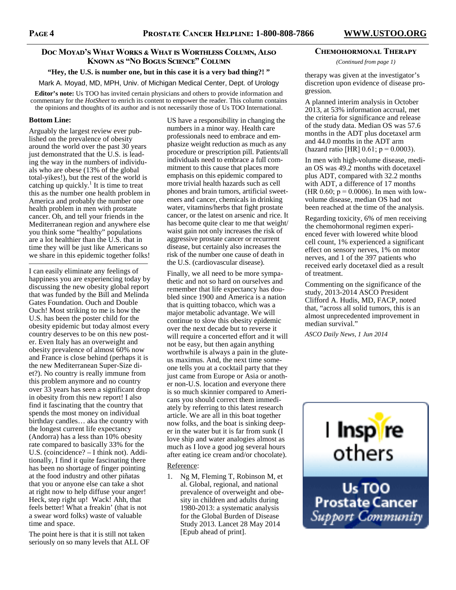#### Doc Moyad's What Works & What is Worthless Column, Also Known as "No Bogus Science" Column

**"Hey, the U.S. is number one, but in this case it is a very bad thing?! "** 

Mark A. Moyad, MD, MPH, Univ. of Michigan Medical Center, Dept. of Urology

**Editor's note:** Us TOO has invited certain physicians and others to provide information and commentary for the *HotSheet* to enrich its content to empower the reader. This column contains the opinions and thoughts of its author and is not necessarily those of Us TOO International.

#### **Bottom Line:**

Arguably the largest review ever published on the prevalence of obesity around the world over the past 30 years just demonstrated that the U.S. is leading the way in the numbers of individuals who are obese (13% of the global total-yikes!), but the rest of the world is catching up quickly.<sup>1</sup> It is time to treat this as the number one health problem in America and probably the number one health problem in men with prostate cancer. Oh, and tell your friends in the Mediterranean region and anywhere else you think some "healthy" populations are a lot healthier than the U.S. that in time they will be just like Americans so we share in this epidemic together folks!

———————————————— I can easily eliminate any feelings of happiness you are experiencing today by discussing the new obesity global report that was funded by the Bill and Melinda Gates Foundation. Ouch and Double Ouch! Most striking to me is how the U.S. has been the poster child for the obesity epidemic but today almost every country deserves to be on this new poster. Even Italy has an overweight and obesity prevalence of almost 60% now and France is close behind (perhaps it is the new Mediterranean Super-Size diet?). No country is really immune from this problem anymore and no country over 33 years has seen a significant drop in obesity from this new report! I also find it fascinating that the country that spends the most money on individual birthday candles… aka the country with the longest current life expectancy (Andorra) has a less than 10% obesity rate compared to basically 33% for the U.S. (coincidence? – I think not). Additionally, I find it quite fascinating there has been no shortage of finger pointing at the food industry and other piñatas that you or anyone else can take a shot at right now to help diffuse your anger! Heck, step right up! Wack! Ahh, that feels better! What a freakin' (that is not a swear word folks) waste of valuable time and space.

The point here is that it is still not taken seriously on so many levels that ALL OF

US have a responsibility in changing the numbers in a minor way. Health care professionals need to embrace and emphasize weight reduction as much as any procedure or prescription pill. Patients/all individuals need to embrace a full commitment to this cause that places more emphasis on this epidemic compared to more trivial health hazards such as cell phones and brain tumors, artificial sweeteners and cancer, chemicals in drinking water, vitamins/herbs that fight prostate cancer, or the latest on arsenic and rice. It has become quite clear to me that weight/ waist gain not only increases the risk of aggressive prostate cancer or recurrent disease, but certainly also increases the risk of the number one cause of death in the U.S. (cardiovascular disease).

Finally, we all need to be more sympathetic and not so hard on ourselves and remember that life expectancy has doubled since 1900 and America is a nation that is quitting tobacco, which was a major metabolic advantage. We will continue to slow this obesity epidemic over the next decade but to reverse it will require a concerted effort and it will not be easy, but then again anything worthwhile is always a pain in the gluteus maximus. And, the next time someone tells you at a cocktail party that they just came from Europe or Asia or another non-U.S. location and everyone there is so much skinnier compared to Americans you should correct them immediately by referring to this latest research article. We are all in this boat together now folks, and the boat is sinking deeper in the water but it is far from sunk (I love ship and water analogies almost as much as I love a good jog several hours after eating ice cream and/or chocolate).

#### Reference:

1. Ng M, Fleming T, Robinson M, et al. Global, regional, and national prevalence of overweight and obesity in children and adults during 1980-2013: a systematic analysis for the Global Burden of Disease Study 2013. Lancet 28 May 2014 [Epub ahead of print].

#### **CHEMOHORMONAL THERAPY**

*(Continued from page 1)* 

therapy was given at the investigator's discretion upon evidence of disease progression.

A planned interim analysis in October 2013, at 53% information accrual, met the criteria for significance and release of the study data. Median OS was 57.6 months in the ADT plus docetaxel arm and 44.0 months in the ADT arm (hazard ratio [HR]  $0.61$ ; p = 0.0003).

In men with high-volume disease, median OS was 49.2 months with docetaxel plus ADT, compared with 32.2 months with ADT, a difference of 17 months (HR 0.60;  $p = 0.0006$ ). In men with lowvolume disease, median OS had not been reached at the time of the analysis.

Regarding toxicity, 6% of men receiving the chemohormonal regimen experienced fever with lowered white blood cell count, 1% experienced a significant effect on sensory nerves, 1% on motor nerves, and 1 of the 397 patients who received early docetaxel died as a result of treatment.

Commenting on the significance of the study, 2013-2014 ASCO President Clifford A. Hudis, MD, FACP, noted that, "across all solid tumors, this is an almost unprecedented improvement in median survival."

*ASCO Daily News, 1 Jun 2014* 

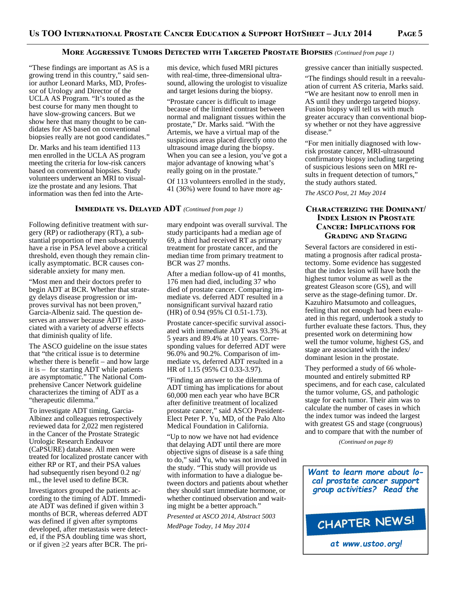#### MORE AGGRESSIVE TUMORS DETECTED WITH TARGETED PROSTATE BIOPSIES (Continued from page 1)

"These findings are important as AS is a growing trend in this country," said senior author Leonard Marks, MD, Professor of Urology and Director of the UCLA AS Program. "It's touted as the best course for many men thought to have slow-growing cancers. But we show here that many thought to be candidates for AS based on conventional biopsies really are not good candidates."

Dr. Marks and his team identified 113 men enrolled in the UCLA AS program meeting the criteria for low-risk cancers based on conventional biopsies. Study volunteers underwent an MRI to visualize the prostate and any lesions. That information was then fed into the Arte-

**IMMEDIATE VS. DELAYED ADT** *(Continued from page 1)* 

Following definitive treatment with surgery (RP) or radiotherapy (RT), a substantial proportion of men subsequently have a rise in PSA level above a critical threshold, even though they remain clinically asymptomatic. BCR causes considerable anxiety for many men.

"Most men and their doctors prefer to begin ADT at BCR. Whether that strategy delays disease progression or improves survival has not been proven," Garcia-Albeniz said. The question deserves an answer because ADT is associated with a variety of adverse effects that diminish quality of life.

The ASCO guideline on the issue states that "the critical issue is to determine whether there is benefit – and how large it is – for starting ADT while patients are asymptomatic." The National Comprehensive Cancer Network guideline characterizes the timing of ADT as a "therapeutic dilemma."

To investigate ADT timing, Garcia-Albinez and colleagues retrospectively reviewed data for 2,022 men registered in the Cancer of the Prostate Strategic Urologic Research Endeavor (CaPSURE) database. All men were treated for localized prostate cancer with either RP or RT, and their PSA values had subsequently risen beyond 0.2 ng/ mL, the level used to define BCR.

Investigators grouped the patients according to the timing of ADT. Immediate ADT was defined if given within 3 months of BCR, whereas deferred ADT was defined if given after symptoms developed, after metastasis were detected, if the PSA doubling time was short, or if given  $\geq$ 2 years after BCR. The primis device, which fused MRI pictures with real-time, three-dimensional ultrasound, allowing the urologist to visualize and target lesions during the biopsy.

"Prostate cancer is difficult to image because of the limited contrast between normal and malignant tissues within the prostate," Dr. Marks said. "With the Artemis, we have a virtual map of the suspicious areas placed directly onto the ultrasound image during the biopsy. When you can see a lesion, you've got a major advantage of knowing what's really going on in the prostate."

Of 113 volunteers enrolled in the study, 41 (36%) were found to have more ag-

mary endpoint was overall survival. The study participants had a median age of 69, a third had received RT as primary treatment for prostate cancer, and the median time from primary treatment to BCR was 27 months.

After a median follow-up of 41 months, 176 men had died, including 37 who died of prostate cancer. Comparing immediate vs. deferred ADT resulted in a nonsignificant survival hazard ratio (HR) of 0.94 (95% CI 0.51-1.73).

Prostate cancer-specific survival associated with immediate ADT was 93.3% at 5 years and 89.4% at 10 years. Corresponding values for deferred ADT were 96.0% and 90.2%. Comparison of immediate vs, deferred ADT resulted in a HR of 1.15 (95% CI 0.33-3.97).

"Finding an answer to the dilemma of ADT timing has implications for about 60,000 men each year who have BCR after definitive treatment of localized prostate cancer," said ASCO President-Elect Peter P. Yu, MD, of the Palo Alto Medical Foundation in California.

"Up to now we have not had evidence that delaying ADT until there are more objective signs of disease is a safe thing to do," said Yu, who was not involved in the study. "This study will provide us with information to have a dialogue between doctors and patients about whether they should start immediate hormone, or whether continued observation and waiting might be a better approach."

*Presented at ASCO 2014, Abstract 5003 MedPage Today, 14 May 2014* 

gressive cancer than initially suspected.

"The findings should result in a reevaluation of current AS criteria, Marks said. "We are hesitant now to enroll men in AS until they undergo targeted biopsy. Fusion biopsy will tell us with much greater accuracy than conventional biopsy whether or not they have aggressive disease."

"For men initially diagnosed with lowrisk prostate cancer, MRI-ultrasound confirmatory biopsy including targeting of suspicious lesions seen on MRI results in frequent detection of tumors," the study authors stated.

*The ASCO Post, 21 May 2014* 

#### **CHARACTERIZING THE DOMINANT/ INDEX LESION IN PROSTATE CANCER: IMPLICATIONS FOR GRADING AND STAGING**

Several factors are considered in estimating a prognosis after radical prostatectomy. Some evidence has suggested that the index lesion will have both the highest tumor volume as well as the greatest Gleason score (GS), and will serve as the stage-defining tumor. Dr. Kazuhiro Matsumoto and colleagues, feeling that not enough had been evaluated in this regard, undertook a study to further evaluate these factors. Thus, they presented work on determining how well the tumor volume, highest GS, and stage are associated with the index/ dominant lesion in the prostate.

They performed a study of 66 wholemounted and entirely submitted RP specimens, and for each case, calculated the tumor volume, GS, and pathologic stage for each tumor. Their aim was to calculate the number of cases in which the index tumor was indeed the largest with greatest GS and stage (congruous) and to compare that with the number of

*(Continued on page 8)* 

*Want to learn more about local prostate cancer support group activities? Read the*

CHAPTER NEWS!

*at www.ustoo.org!*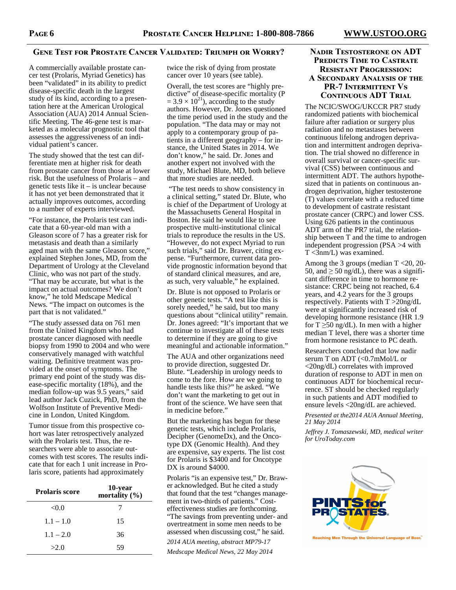#### GENE TEST FOR PROSTATE CANCER VALIDATED: TRIUMPH OR WORRY?

A commercially available prostate cancer test (Prolaris, Myriad Genetics) has been "validated" in its ability to predict disease-specific death in the largest study of its kind, according to a presentation here at the American Urological Association (AUA) 2014 Annual Scientific Meeting. The 46-gene test is marketed as a molecular prognostic tool that assesses the aggressiveness of an individual patient's cancer.

The study showed that the test can differentiate men at higher risk for death from prostate cancer from those at lower risk. But the usefulness of Prolaris – and genetic tests like it – is unclear because it has not yet been demonstrated that it actually improves outcomes, according to a number of experts interviewed.

"For instance, the Prolaris test can indicate that a 60-year-old man with a Gleason score of 7 has a greater risk for metastasis and death than a similarly aged man with the same Gleason score," explained Stephen Jones, MD, from the Department of Urology at the Cleveland Clinic, who was not part of the study. "That may be accurate, but what is the impact on actual outcomes? We don't know," he told Medscape Medical News. "The impact on outcomes is the part that is not validated."

"The study assessed data on 761 men from the United Kingdom who had prostate cancer diagnosed with needle biopsy from 1990 to 2004 and who were conservatively managed with watchful waiting. Definitive treatment was provided at the onset of symptoms. The primary end point of the study was disease-specific mortality (18%), and the median follow-up was 9.5 years," said lead author Jack Cuzick, PhD, from the Wolfson Institute of Preventive Medicine in London, United Kingdom.

Tumor tissue from this prospective cohort was later retrospectively analyzed with the Prolaris test. Thus, the researchers were able to associate outcomes with test scores. The results indicate that for each 1 unit increase in Prolaris score, patients had approximately

| <b>Prolaris score</b> | 10-year<br>mortality $(\% )$ |
|-----------------------|------------------------------|
| <0.0                  | 7                            |
| $1.1 - 1.0$           | 15                           |
| $1.1 - 2.0$           | 36                           |
| >2.0                  | 59                           |

twice the risk of dying from prostate cancer over 10 years (see table).

Overall, the test scores are "highly predictive" of disease-specific mortality (P  $= 3.9 \times 10^{21}$ ), according to the study authors. However, Dr. Jones questioned the time period used in the study and the population. "The data may or may not apply to a contemporary group of patients in a different geography – for instance, the United States in 2014. We don't know," he said. Dr. Jones and another expert not involved with the study, Michael Blute, MD, both believe that more studies are needed.

 "The test needs to show consistency in a clinical setting," stated Dr. Blute, who is chief of the Department of Urology at the Massachusetts General Hospital in Boston. He said he would like to see prospective multi-institutional clinical trials to reproduce the results in the US. "However, do not expect Myriad to run such trials," said Dr. Brawer, citing expense. "Furthermore, current data provide prognostic information beyond that of standard clinical measures, and are, as such, very valuable," he explained.

Dr. Blute is not opposed to Prolaris or other genetic tests. "A test like this is sorely needed," he said, but too many questions about "clinical utility" remain. Dr. Jones agreed: "It's important that we continue to investigate all of these tests to determine if they are going to give meaningful and actionable information."

The AUA and other organizations need to provide direction, suggested Dr. Blute. "Leadership in urology needs to come to the fore. How are we going to handle tests like this?" he asked. "We don't want the marketing to get out in front of the science. We have seen that in medicine before."

But the marketing has begun for these genetic tests, which include Prolaris, Decipher (GenomeDx), and the Oncotype DX (Genomic Health). And they are expensive, say experts. The list cost for Prolaris is \$3400 and for Oncotype DX is around \$4000.

Prolaris "is an expensive test," Dr. Brawer acknowledged. But he cited a study that found that the test "changes management in two-thirds of patients." Costeffectiveness studies are forthcoming. "The savings from preventing under- and overtreatment in some men needs to be assessed when discussing cost," he said.

*2014 AUA meeting, abstract MP79-17 Medscape Medical News, 22 May 2014* 

#### **NADIR TESTOSTERONE ON ADT PREDICTS TIME TO CASTRATE RESISTANT PROGRESSION: A SECONDARY ANALYSIS OF THE PR-7 INTERMITTENT VS CONTINUOUS ADT TRIAL**

The NCIC/SWOG/UKCCR PR7 study randomized patients with biochemical failure after radiation or surgery plus radiation and no metastases between continuous lifelong androgen deprivation and intermittent androgen deprivation. The trial showed no difference in overall survival or cancer-specific survival (CSS) between continuous and intermittent ADT. The authors hypothesized that in patients on continuous androgen deprivation, higher testosterone (T) values correlate with a reduced time to development of castrate resistant prostate cancer (CRPC) and lower CSS. Using 626 patients in the continuous ADT arm of the PR7 trial, the relationship between T and the time to androgen independent progression (PSA >4 with T <3nm/L) was examined.

Among the 3 groups (median  $T < 20$ , 20-50, and  $\geq$  50 ng/dL), there was a significant difference in time to hormone resistance: CRPC being not reached, 6.4 years, and 4.2 years for the 3 groups respectively. Patients with T >20ng/dL were at significantly increased risk of developing hormone resistance (HR 1.9 for  $T \ge 50$  ng/dL). In men with a higher median T level, there was a shorter time from hormone resistance to PC death.

Researchers concluded that low nadir serum T on ADT (<0.7mMol/L or <20ng/dL) correlates with improved duration of response to ADT in men on continuous ADT for biochemical recurrence. ST should be checked regularly in such patients and ADT modified to ensure levels <20ng/dL are achieved.

*Presented at the2014 AUA Annual Meeting, 21 May 2014* 

*Jeffrey J. Tomaszewski, MD, medical writer for UroToday.com* 



Reaching Men Through the Universal Language of Beer.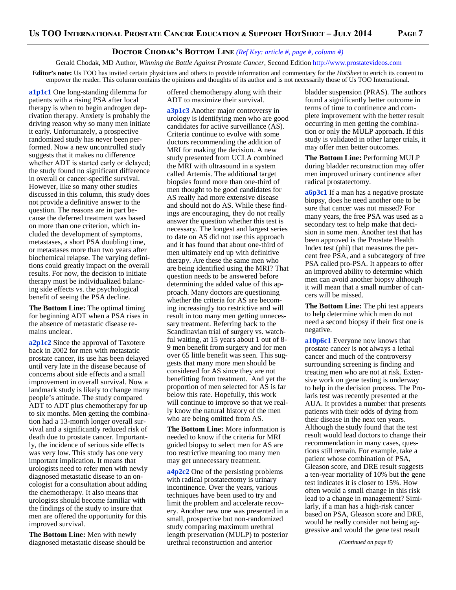#### **DOCTOR CHODAK'S BOTTOM LINE** (Ref Key: article #, page #, column #)

Gerald Chodak, MD Author, *Winning the Battle Against Prostate Cancer*, Second Edition http://www.prostatevideos.com

**Editor's note:** Us TOO has invited certain physicians and others to provide information and commentary for the *HotSheet* to enrich its content to empower the reader. This column contains the opinions and thoughts of its author and is not necessarily those of Us TOO International.

**a1p1c1** One long-standing dilemma for patients with a rising PSA after local therapy is when to begin androgen deprivation therapy. Anxiety is probably the driving reason why so many men initiate it early. Unfortunately, a prospective randomized study has never been performed. Now a new uncontrolled study suggests that it makes no difference whether ADT is started early or delayed; the study found no significant difference in overall or cancer-specific survival. However, like so many other studies discussed in this column, this study does not provide a definitive answer to the question. The reasons are in part because the deferred treatment was based on more than one criterion, which included the development of symptoms, metastases, a short PSA doubling time, or metastases more than two years after biochemical relapse. The varying definitions could greatly impact on the overall results. For now, the decision to initiate therapy must be individualized balancing side effects vs. the psychological benefit of seeing the PSA decline.

**The Bottom Line:** The optimal timing for beginning ADT when a PSA rises in the absence of metastatic disease remains unclear.

**a2p1c2** Since the approval of Taxotere back in 2002 for men with metastatic prostate cancer, its use has been delayed until very late in the disease because of concerns about side effects and a small improvement in overall survival. Now a landmark study is likely to change many people's attitude. The study compared ADT to ADT plus chemotherapy for up to six months. Men getting the combination had a 13-month longer overall survival and a significantly reduced risk of death due to prostate cancer. Importantly, the incidence of serious side effects was very low. This study has one very important implication. It means that urologists need to refer men with newly diagnosed metastatic disease to an oncologist for a consultation about adding the chemotherapy. It also means that urologists should become familiar with the findings of the study to insure that men are offered the opportunity for this improved survival.

**The Bottom Line:** Men with newly diagnosed metastatic disease should be offered chemotherapy along with their ADT to maximize their survival.

**a3p1c3** Another major controversy in urology is identifying men who are good candidates for active surveillance (AS). Criteria continue to evolve with some doctors recommending the addition of MRI for making the decision. A new study presented from UCLA combined the MRI with ultrasound in a system called Artemis. The additional target biopsies found more than one-third of men thought to be good candidates for AS really had more extensive disease and should not do AS. While these findings are encouraging, they do not really answer the question whether this test is necessary. The longest and largest series to date on AS did not use this approach and it has found that about one-third of men ultimately end up with definitive therapy. Are these the same men who are being identified using the MRI? That question needs to be answered before determining the added value of this approach. Many doctors are questioning whether the criteria for AS are becoming increasingly too restrictive and will result in too many men getting unnecessary treatment. Referring back to the Scandinavian trial of surgery vs. watchful waiting, at 15 years about 1 out of 8- 9 men benefit from surgery and for men over 65 little benefit was seen. This suggests that many more men should be considered for AS since they are not benefitting from treatment. And yet the proportion of men selected for AS is far below this rate. Hopefully, this work will continue to improve so that we really know the natural history of the men who are being omitted from AS.

**The Bottom Line:** More information is needed to know if the criteria for MRI guided biopsy to select men for AS are too restrictive meaning too many men may get unnecessary treatment.

**a4p2c2** One of the persisting problems with radical prostatectomy is urinary incontinence. Over the years, various techniques have been used to try and limit the problem and accelerate recovery. Another new one was presented in a small, prospective but non-randomized study comparing maximum urethral length preservation (MULP) to posterior urethral reconstruction and anterior

bladder suspension (PRAS). The authors found a significantly better outcome in terms of time to continence and complete improvement with the better result occurring in men getting the combination or only the MULP approach. If this study is validated in other larger trials, it may offer men better outcomes.

**The Bottom Line:** Performing MULP during bladder reconstruction may offer men improved urinary continence after radical prostatectomy.

a6p3c1 If a man has a negative prostate biopsy, does he need another one to be sure that cancer was not missed? For many years, the free PSA was used as a secondary test to help make that decision in some men. Another test that has been approved is the Prostate Health Index test (phi) that measures the percent free PSA, and a subcategory of free PSA called pro-PSA. It appears to offer an improved ability to determine which men can avoid another biopsy although it will mean that a small number of cancers will be missed.

**The Bottom Line:** The phi test appears to help determine which men do not need a second biopsy if their first one is negative.

**a10p6c1** Everyone now knows that prostate cancer is not always a lethal cancer and much of the controversy surrounding screening is finding and treating men who are not at risk. Extensive work on gene testing is underway to help in the decision process. The Prolaris test was recently presented at the AUA. It provides a number that presents patients with their odds of dying from their disease in the next ten years. Although the study found that the test result would lead doctors to change their recommendation in many cases, questions still remain. For example, take a patient whose combination of PSA, Gleason score, and DRE result suggests a ten-year mortality of 10% but the gene test indicates it is closer to 15%. How often would a small change in this risk lead to a change in management? Similarly, if a man has a high-risk cancer based on PSA, Gleason score and DRE, would he really consider not being aggressive and would the gene test result

*(Continued on page 8)*